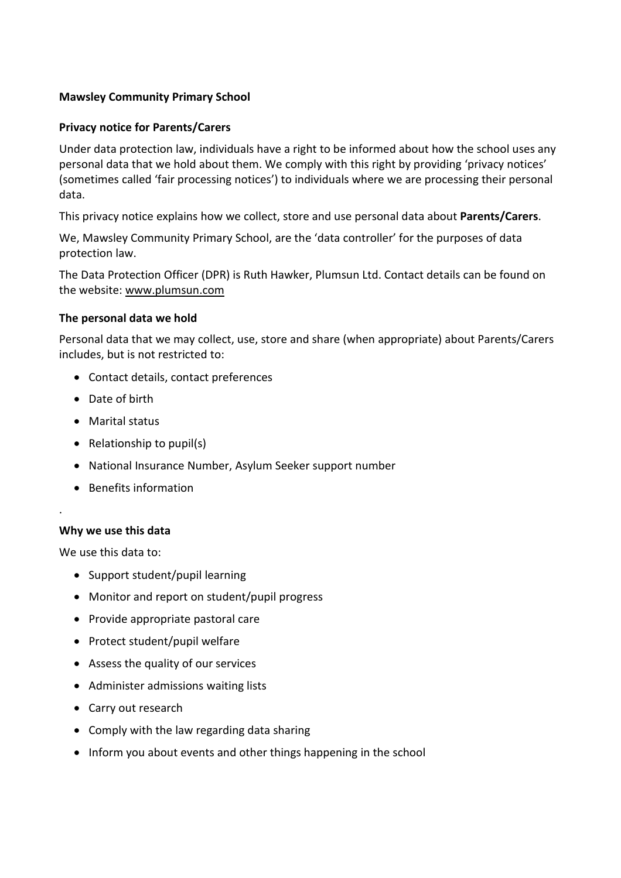## **Mawsley Community Primary School**

### **Privacy notice for Parents/Carers**

Under data protection law, individuals have a right to be informed about how the school uses any personal data that we hold about them. We comply with this right by providing 'privacy notices' (sometimes called 'fair processing notices') to individuals where we are processing their personal data.

This privacy notice explains how we collect, store and use personal data about **Parents/Carers**.

We, Mawsley Community Primary School, are the 'data controller' for the purposes of data protection law.

The Data Protection Officer (DPR) is Ruth Hawker, Plumsun Ltd. Contact details can be found on the website: [www.plumsun.com](http://www.plumsun.com/)

## **The personal data we hold**

Personal data that we may collect, use, store and share (when appropriate) about Parents/Carers includes, but is not restricted to:

- Contact details, contact preferences
- Date of birth
- Marital status
- Relationship to pupil(s)
- National Insurance Number, Asylum Seeker support number
- Benefits information

### **Why we use this data**

.

We use this data to:

- Support student/pupil learning
- Monitor and report on student/pupil progress
- Provide appropriate pastoral care
- Protect student/pupil welfare
- Assess the quality of our services
- Administer admissions waiting lists
- Carry out research
- Comply with the law regarding data sharing
- Inform you about events and other things happening in the school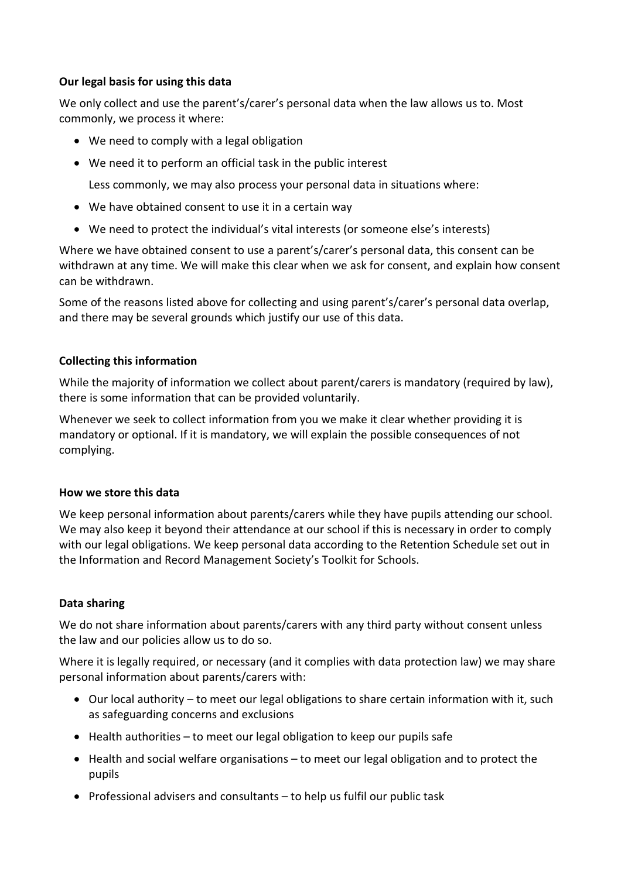# **Our legal basis for using this data**

We only collect and use the parent's/carer's personal data when the law allows us to. Most commonly, we process it where:

- We need to comply with a legal obligation
- We need it to perform an official task in the public interest

Less commonly, we may also process your personal data in situations where:

- We have obtained consent to use it in a certain way
- We need to protect the individual's vital interests (or someone else's interests)

Where we have obtained consent to use a parent's/carer's personal data, this consent can be withdrawn at any time. We will make this clear when we ask for consent, and explain how consent can be withdrawn.

Some of the reasons listed above for collecting and using parent's/carer's personal data overlap, and there may be several grounds which justify our use of this data.

## **Collecting this information**

While the majority of information we collect about parent/carers is mandatory (required by law), there is some information that can be provided voluntarily.

Whenever we seek to collect information from you we make it clear whether providing it is mandatory or optional. If it is mandatory, we will explain the possible consequences of not complying.

### **How we store this data**

We keep personal information about parents/carers while they have pupils attending our school. We may also keep it beyond their attendance at our school if this is necessary in order to comply with our legal obligations. We keep personal data according to the Retention Schedule set out in the Information and Record Management Society's Toolkit for Schools.

# **Data sharing**

We do not share information about parents/carers with any third party without consent unless the law and our policies allow us to do so.

Where it is legally required, or necessary (and it complies with data protection law) we may share personal information about parents/carers with:

- Our local authority to meet our legal obligations to share certain information with it, such as safeguarding concerns and exclusions
- Health authorities to meet our legal obligation to keep our pupils safe
- Health and social welfare organisations to meet our legal obligation and to protect the pupils
- Professional advisers and consultants to help us fulfil our public task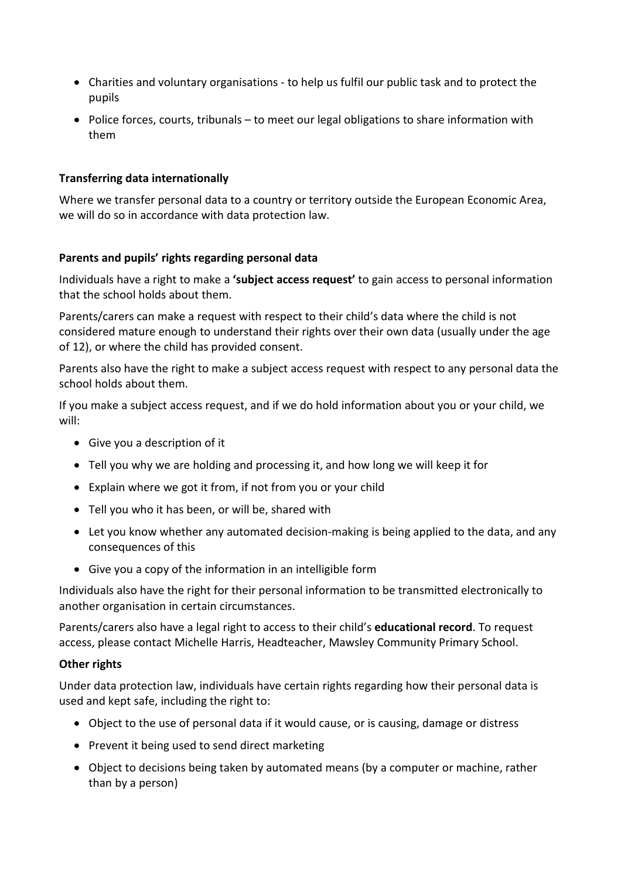- Charities and voluntary organisations to help us fulfil our public task and to protect the pupils
- Police forces, courts, tribunals to meet our legal obligations to share information with them

## **Transferring data internationally**

Where we transfer personal data to a country or territory outside the European Economic Area, we will do so in accordance with data protection law.

### **Parents and pupils' rights regarding personal data**

Individuals have a right to make a **'subject access request'** to gain access to personal information that the school holds about them.

Parents/carers can make a request with respect to their child's data where the child is not considered mature enough to understand their rights over their own data (usually under the age of 12), or where the child has provided consent.

Parents also have the right to make a subject access request with respect to any personal data the school holds about them.

If you make a subject access request, and if we do hold information about you or your child, we will:

- Give you a description of it
- Tell you why we are holding and processing it, and how long we will keep it for
- Explain where we got it from, if not from you or your child
- Tell you who it has been, or will be, shared with
- Let you know whether any automated decision-making is being applied to the data, and any consequences of this
- Give you a copy of the information in an intelligible form

Individuals also have the right for their personal information to be transmitted electronically to another organisation in certain circumstances.

Parents/carers also have a legal right to access to their child's **educational record**. To request access, please contact Michelle Harris, Headteacher, Mawsley Community Primary School.

### **Other rights**

Under data protection law, individuals have certain rights regarding how their personal data is used and kept safe, including the right to:

- Object to the use of personal data if it would cause, or is causing, damage or distress
- Prevent it being used to send direct marketing
- Object to decisions being taken by automated means (by a computer or machine, rather than by a person)